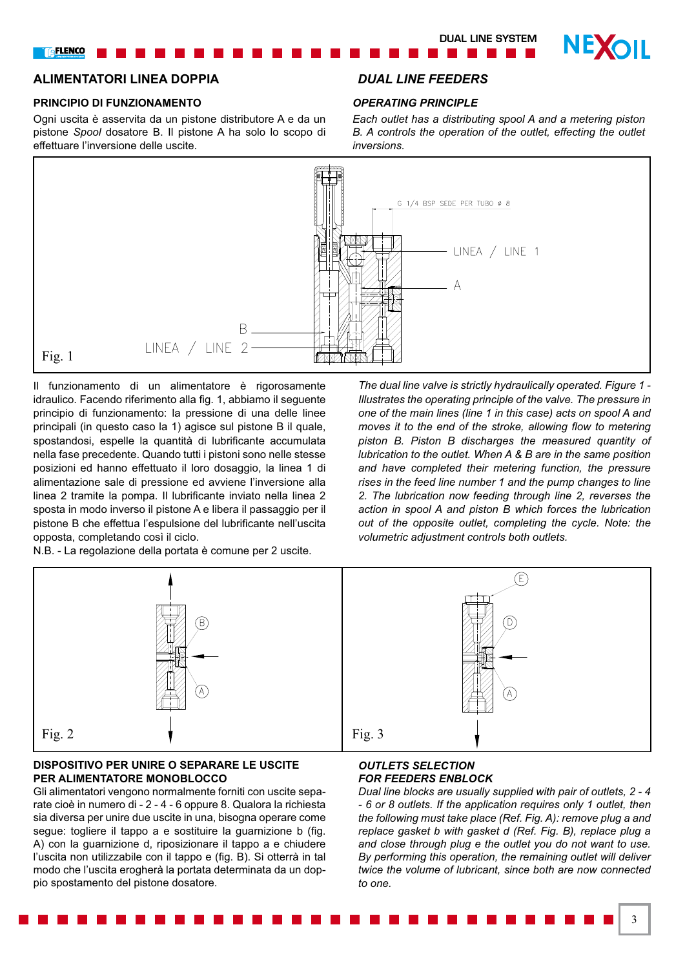**DUAL LINE SYSTEM**



### **ALIMENTATORI LINEA DOPPIA** *DUAL LINE FEEDERS*

# **PRINCIPIO DI FUNZIONAMENTO**

GFLENCO

Ogni uscita è asservita da un pistone distributore A e da un pistone *Spool* dosatore B. Il pistone A ha solo lo scopo di effettuare l'inversione delle uscite.

### *OPERATING PRINCIPLE*

*Each outlet has a distributing spool A and a metering piston B. A controls the operation of the outlet, effecting the outlet inversions.*



Il funzionamento di un alimentatore è rigorosamente idraulico. Facendo riferimento alla fig. 1, abbiamo il seguente principio di funzionamento: la pressione di una delle linee principali (in questo caso la 1) agisce sul pistone B il quale. spostandosi, espelle la quantità di lubrificante accumulata nella fase precedente. Quando tutti i pistoni sono nelle stesse posizioni ed hanno effettuato il loro dosaggio, la linea 1 di alimentazione sale di pressione ed avviene l'inversione alla linea 2 tramite la pompa. Il lubrificante inviato nella linea 2 sposta in modo inverso il pistone A e libera il passaggio per il pistone B che effettua l'espulsione del lubrificante nell'uscita opposta, completando così il ciclo.

N.B. - La regolazione della portata è comune per 2 uscite.

*The dual line valve is strictly hydraulically operated. Figure 1 - Illustrates the operating principle of the valve. The pressure in one of the main lines (line 1 in this case) acts on spool A and Proves it to the end of the stroke, allowing flow to metering piston B. Piston B discharges the measured quantity of lubrication to the outlet. When A & B are in the same position and have completed their metering function, the pressure rises in the feed line number 1 and the pump changes to line 2. The lubrication now feeding through line 2, reverses the action in spool A and piston B which forces the lubrication out of the opposite outlet, completing the cycle. Note: the volumetric adjustment controls both outlets.* 



# **DISPOSITIVO PER UNIRE O SEPARARE LE USCITE PER ALIMENTATORE MONOBLOCCO**

Gli alimentatori vengono normalmente forniti con uscite separate cioè in numero di - 2 - 4 - 6 oppure 8. Qualora la richiesta sia diversa per unire due uscite in una, bisogna operare come segue: togliere il tappo a e sostituire la guarnizione b (fig. A) con la guarnizione d, riposizionare il tappo a e chiudere l'uscita non utilizzabile con il tappo e (fig. B). Si otterrà in tal modo che l'uscita erogherà la portata determinata da un doppio spostamento del pistone dosatore.

# *OUTLETS SELECTION FOR FEEDERS ENBLOCK*

*Dual line blocks are usually supplied with pair of outlets, 2 - 4 - 6 or 8 outlets. If the application requires only 1 outlet, then the following must take place (Ref. Fig. A): remove plug a and replace gasket b with gasket d (Ref. Fig. B), replace plug a and close through plug e the outlet you do not want to use. By performing this operation, the remaining outlet will deliver twice the volume of lubricant, since both are now connected to one.*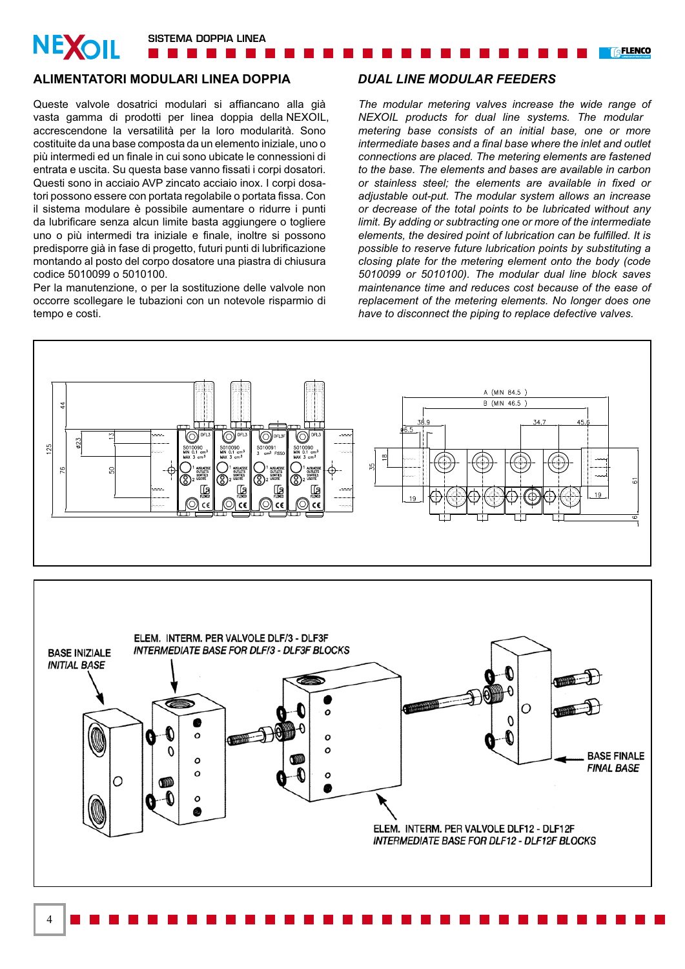**SISTEMA DOPPIA LINEA**

**TAFLENCO** 

# **ALIMENTATORI MODULARI LINEA DOPPIA** *DUAL LINE MODULAR FEEDERS*

**NEXOIL** 

Queste valvole dosatrici modulari si affiancano alla già vasta gamma di prodotti per linea doppia della NEXOIL, accrescendone la versatilità per la loro modularità. Sono costituite da una base composta da un elemento iniziale, uno o più intermedi ed un finale in cui sono ubicate le connessioni di entrata e uscita. Su questa base vanno fissati i corpi dosatori. Questi sono in acciaio AVP zincato acciaio inox. I corpi dosatori possono essere con portata regolabile o portata fissa. Con il sistema modulare è possibile aumentare o ridurre i punti da lubrificare senza alcun limite basta aggiungere o togliere uno o più intermedi tra iniziale e finale, inoltre si possono predisporre già in fase di progetto, futuri punti di lubrificazione montando al posto del corpo dosatore una piastra di chiusura codice 5010099 o 5010100.

Per la manutenzione, o per la sostituzione delle valvole non occorre scollegare le tubazioni con un notevole risparmio di tempo e costi.

*The modular metering valves increase the wide range of NEXOIL products for dual line systems. The modular metering base consists of an initial base, one or more*  intermediate bases and a final base where the inlet and outlet *connections are placed. The metering elements are fastened to the base. The elements and bases are available in carbon*  or stainless steel: the elements are available in fixed or *adjustable out-put. The modular system allows an increase or decrease of the total points to be lubricated without any limit. By adding or subtracting one or more of the intermediate elements, the desired point of lubrication can be fulfilled. It is possible to reserve future lubrication points by substituting a closing plate for the metering element onto the body (code 5010099 or 5010100). The modular dual line block saves maintenance time and reduces cost because of the ease of replacement of the metering elements. No longer does one have to disconnect the piping to replace defective valves.* 



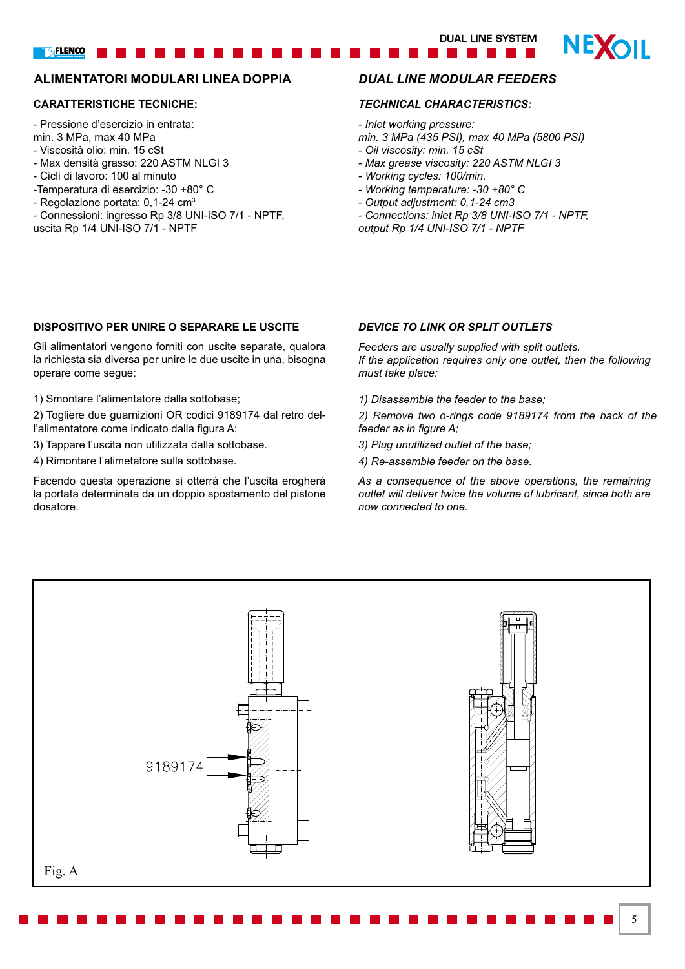**NEXOIL** 

# GFLENCO

# **ALIMENTATORI MODULARI LINEA DOPPIA** *DUAL LINE MODULAR FEEDERS*

### **CARATTERISTICHE TECNICHE:**

- Pressione d'esercizio in entrata:

- min. 3 MPa, max 40 MPa
- Viscosità olio: min. 15 cSt
- Max densità grasso: 220 ASTM NLGI 3
- Cicli di lavoro: 100 al minuto
- -Temperatura di esercizio: -30 +80° C
- Regolazione portata:  $0,1-24$  cm<sup>3</sup>
- Connessioni: ingresso Rp 3/8 UNI-ISO 7/1 NPTF,
- uscita Rp 1/4 UNI-ISO 7/1 NPTF

## *TECHNICAL CHARACTERISTICS:*

*- Inlet working pressure:*

- *min. 3 MPa (435 PSI), max 40 MPa (5800 PSI)*
- *Oil viscosity: min. 15 cSt*
- *Max grease viscosity: 220 ASTM NLGI 3*
- *Working cycles: 100/min.*
- *Working temperature: -30 +80° C*
- *Output adjustment: 0,1-24 cm3*
- *Connections: inlet Rp 3/8 UNI-ISO 7/1 NPTF,*
- *output Rp 1/4 UNI-ISO 7/1 NPTF*

### **DISPOSITIVO PER UNIRE O SEPARARE LE USCITE**

Gli alimentatori vengono forniti con uscite separate, qualora la richiesta sia diversa per unire le due uscite in una, bisogna operare come segue:

1) Smontare l'alimentatore dalla sottobase;

2) Togliere due guarnizioni OR codici 9189174 dal retro dell'alimentatore come indicato dalla figura A;

3) Tappare l'uscita non utilizzata dalla sottobase.

4) Rimontare l'alimetatore sulla sottobase.

Facendo questa operazione si otterrà che l'uscita erogherà la portata determinata da un doppio spostamento del pistone dosatore.

#### *DEVICE TO LINK OR SPLIT OUTLETS*

*Feeders are usually supplied with split outlets. If the application requires only one outlet, then the following must take place:*

*1) Disassemble the feeder to the base;* 

*2) Remove two o-rings code 9189174 from the back of the feeder as in figure A;* 

- *3) Plug unutilized outlet of the base;*
- *4) Re-assemble feeder on the base.*

*As a consequence of the above operations, the remaining outlet will deliver twice the volume of lubricant, since both are now connected to one.*

![](_page_2_Figure_38.jpeg)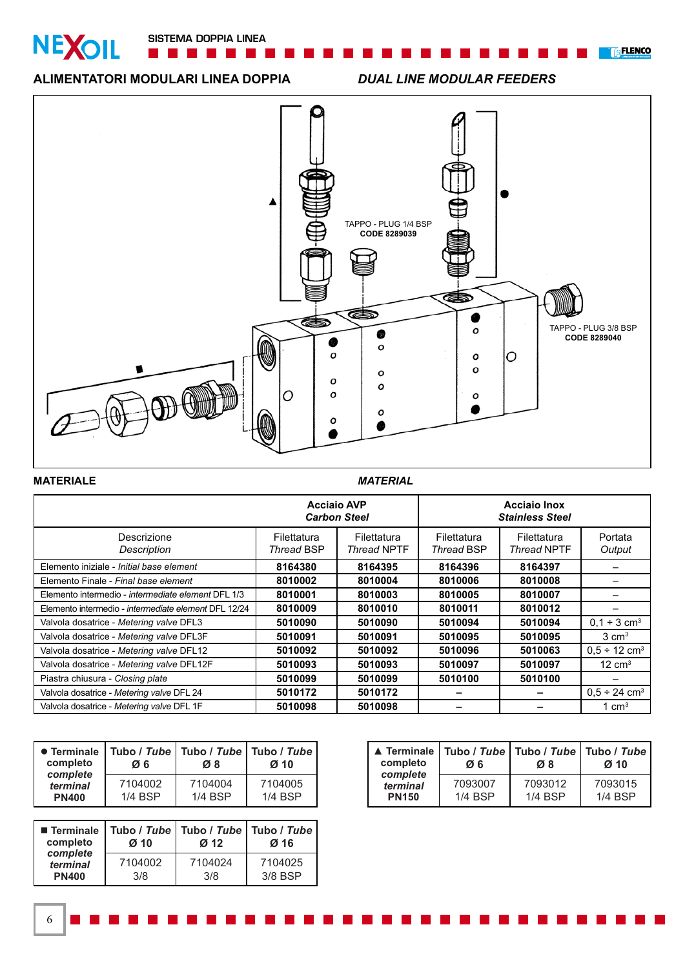**SISTEMA DOPPIA LINEA**

![](_page_3_Picture_1.jpeg)

**TELENCO** 

# **ALIMENTATORI MODULARI LINEA DOPPIA** *DUAL LINE MODULAR FEEDERS*

![](_page_3_Figure_4.jpeg)

#### **MATERIALE** *MATERIAL*

|                                                      | <b>Acciaio AVP</b><br><b>Carbon Steel</b> |                                   | <b>Acciaio Inox</b><br><b>Stainless Steel</b> |                            |                               |
|------------------------------------------------------|-------------------------------------------|-----------------------------------|-----------------------------------------------|----------------------------|-------------------------------|
| Descrizione<br>Description                           | Filettatura<br>Thread BSP                 | Filettatura<br><b>Thread NPTF</b> | Filettatura<br>Thread BSP                     | Filettatura<br>Thread NPTF | Portata<br>Output             |
| Elemento iniziale - <i>Initial base element</i>      | 8164380                                   | 8164395                           | 8164396                                       | 8164397                    |                               |
| Elemento Finale - Final base element                 | 8010002                                   | 8010004                           | 8010006                                       | 8010008                    |                               |
| Elemento intermedio - intermediate element DFL 1/3   | 8010001                                   | 8010003                           | 8010005                                       | 8010007                    |                               |
| Elemento intermedio - intermediate element DFL 12/24 | 8010009                                   | 8010010                           | 8010011                                       | 8010012                    |                               |
| Valvola dosatrice - Metering valve DFL3              | 5010090                                   | 5010090                           | 5010094                                       | 5010094                    | $0.1 \div 3$ cm <sup>3</sup>  |
| Valvola dosatrice - Metering valve DFL3F             | 5010091                                   | 5010091                           | 5010095                                       | 5010095                    | $3 \text{ cm}^3$              |
| Valvola dosatrice - Metering valve DFL12             | 5010092                                   | 5010092                           | 5010096                                       | 5010063                    | $0.5 \div 12$ cm <sup>3</sup> |
| Valvola dosatrice - Metering valve DFL12F            | 5010093                                   | 5010093                           | 5010097                                       | 5010097                    | $12 \text{ cm}^3$             |
| Piastra chiusura - Closing plate                     | 5010099                                   | 5010099                           | 5010100                                       | 5010100                    | -                             |
| Valvola dosatrice - Metering valve DFL 24            | 5010172                                   | 5010172                           |                                               |                            | $0.5 \div 24$ cm <sup>3</sup> |
| Valvola dosatrice - Metering valve DFL 1F            | 5010098                                   | 5010098                           |                                               |                            | 1 cm <sup>3</sup>             |

-----

| • Terminale<br>completo<br>complete<br>terminal<br><b>PN400</b> | Øб                        | Tubo / Tube   Tubo / Tube   Tubo / Tube<br>Ø8 | $Ø$ 10               |
|-----------------------------------------------------------------|---------------------------|-----------------------------------------------|----------------------|
|                                                                 | 7104002<br><b>1/4 BSP</b> | 7104004<br><b>1/4 BSP</b>                     | 7104005<br>$1/4$ BSP |

| $\blacksquare$ Terminale<br>completo<br>complete<br>terminal<br><b>PN400</b> | $Ø$ 10         | Tubo / Tube   Tubo / Tube   Tubo / Tube<br>Ø <sub>12</sub> | Ø 16               |
|------------------------------------------------------------------------------|----------------|------------------------------------------------------------|--------------------|
|                                                                              | 7104002<br>3/8 | 7104024<br>3/8                                             | 7104025<br>3/8 BSP |

| completo<br>complete<br>terminal<br><b>PN150</b> | ▲ Terminale   Tubo / Tube   Tubo / Tube   Tubo / Tube  <br>Ø6 | Ø8                   | $\boldsymbol{\varnothing}$ 10 |
|--------------------------------------------------|---------------------------------------------------------------|----------------------|-------------------------------|
|                                                  | 7093007<br>$1/4$ BSP                                          | 7093012<br>$1/4$ BSP | 7093015<br><b>1/4 BSP</b>     |